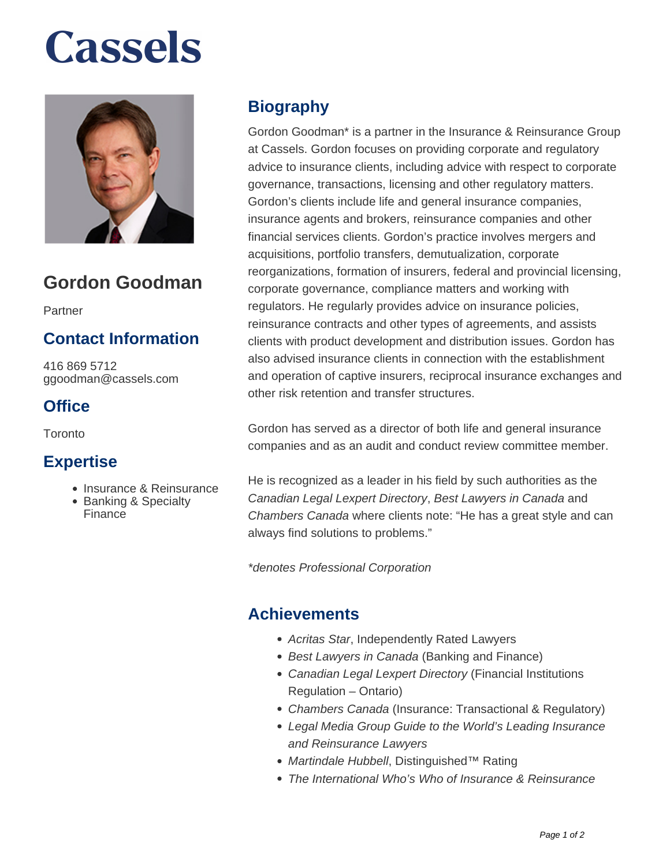# **Cassels**



# **Gordon Goodman**

Partner

### **Contact Information**

416 869 5712 ggoodman@cassels.com

### **Office**

Toronto

### **Expertise**

- Insurance & Reinsurance
- Banking & Specialty Finance

## **Biography**

Gordon Goodman\* is a partner in the Insurance & Reinsurance Group at Cassels. Gordon focuses on providing corporate and regulatory advice to insurance clients, including advice with respect to corporate governance, transactions, licensing and other regulatory matters. Gordon's clients include life and general insurance companies, insurance agents and brokers, reinsurance companies and other financial services clients. Gordon's practice involves mergers and acquisitions, portfolio transfers, demutualization, corporate reorganizations, formation of insurers, federal and provincial licensing, corporate governance, compliance matters and working with regulators. He regularly provides advice on insurance policies, reinsurance contracts and other types of agreements, and assists clients with product development and distribution issues. Gordon has also advised insurance clients in connection with the establishment and operation of captive insurers, reciprocal insurance exchanges and other risk retention and transfer structures.

Gordon has served as a director of both life and general insurance companies and as an audit and conduct review committee member.

He is recognized as a leader in his field by such authorities as the Canadian Legal Lexpert Directory, Best Lawyers in Canada and Chambers Canada where clients note: "He has a great style and can always find solutions to problems."

\*denotes Professional Corporation

### **Achievements**

- Acritas Star, Independently Rated Lawyers
- Best Lawyers in Canada (Banking and Finance)
- Canadian Legal Lexpert Directory (Financial Institutions Regulation – Ontario)
- Chambers Canada (Insurance: Transactional & Regulatory)
- Legal Media Group Guide to the World's Leading Insurance and Reinsurance Lawyers
- Martindale Hubbell, Distinguished™ Rating
- The International Who's Who of Insurance & Reinsurance